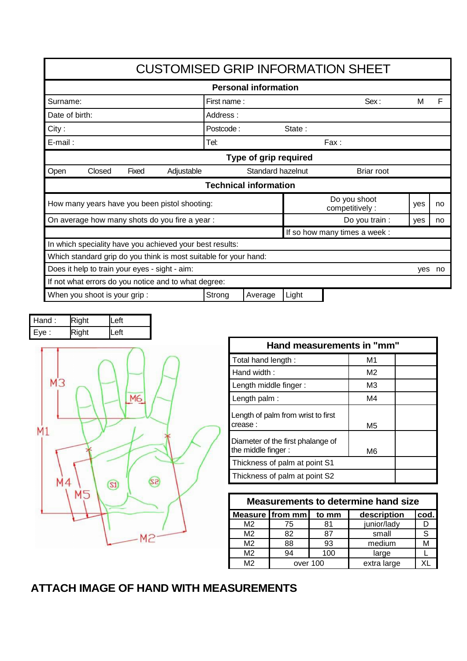| <b>CUSTOMISED GRIP INFORMATION SHEET</b>                         |       |            |             |                              |                             |                                |     |    |
|------------------------------------------------------------------|-------|------------|-------------|------------------------------|-----------------------------|--------------------------------|-----|----|
|                                                                  |       |            |             | <b>Personal information</b>  |                             |                                |     |    |
| Surname:                                                         |       |            | First name: |                              |                             | Sex:                           | М   |    |
| Date of birth:                                                   |       |            | Address:    |                              |                             |                                |     |    |
| City:                                                            |       |            | Postcode:   |                              | State:                      |                                |     |    |
| $E$ -mail:                                                       |       |            | Tel:        |                              | Fax:                        |                                |     |    |
|                                                                  |       |            |             | Type of grip required        |                             |                                |     |    |
| Closed<br>Open                                                   | Fixed | Adjustable |             | Standard hazelnut            |                             | Briar root                     |     |    |
|                                                                  |       |            |             | <b>Technical information</b> |                             |                                |     |    |
| How many years have you been pistol shooting:                    |       |            |             |                              |                             | Do you shoot<br>competitively: | yes | no |
| On average how many shots do you fire a year :                   |       |            |             |                              | Do you train :<br>yes<br>no |                                |     |    |
|                                                                  |       |            |             |                              |                             | If so how many times a week :  |     |    |
| In which speciality have you achieved your best results:         |       |            |             |                              |                             |                                |     |    |
| Which standard grip do you think is most suitable for your hand: |       |            |             |                              |                             |                                |     |    |
| Does it help to train your eyes - sight - aim:                   |       |            |             |                              |                             |                                | ves | no |
| If not what errors do you notice and to what degree:             |       |            |             |                              |                             |                                |     |    |
| When you shoot is your grip :                                    |       |            | Strong      | Average                      | Light                       |                                |     |    |

| Hand: | <b>Right</b> | lLeft |
|-------|--------------|-------|
| Eye:  | Right        | eft   |



| Hand measurements in "mm"                               |                |  |  |  |  |
|---------------------------------------------------------|----------------|--|--|--|--|
| Total hand length:                                      | M1             |  |  |  |  |
| Hand width:                                             | M <sub>2</sub> |  |  |  |  |
| Length middle finger:                                   | M3             |  |  |  |  |
| Length palm :                                           | M4             |  |  |  |  |
| Length of palm from wrist to first<br>crease:           | M5             |  |  |  |  |
| Diameter of the first phalange of<br>the middle finger: | M6             |  |  |  |  |
| Thickness of palm at point S1                           |                |  |  |  |  |
| Thickness of palm at point S2                           |                |  |  |  |  |

| <b>Measurements to determine hand size</b> |                 |       |             |      |  |
|--------------------------------------------|-----------------|-------|-------------|------|--|
|                                            | Measure from mm | to mm | description | cod. |  |
| M2                                         | 75              | 81    | junior/lady |      |  |
| M <sub>2</sub>                             | 82              | 87    | small       | S    |  |
| M <sub>2</sub>                             | 88<br>93        |       | medium      | М    |  |
| M <sub>2</sub>                             | 94              | 100   | large       |      |  |
| M <sub>2</sub>                             | over 100        |       | extra large |      |  |

## **ATTACH IMAGE OF HAND WITH MEASUREMENTS**